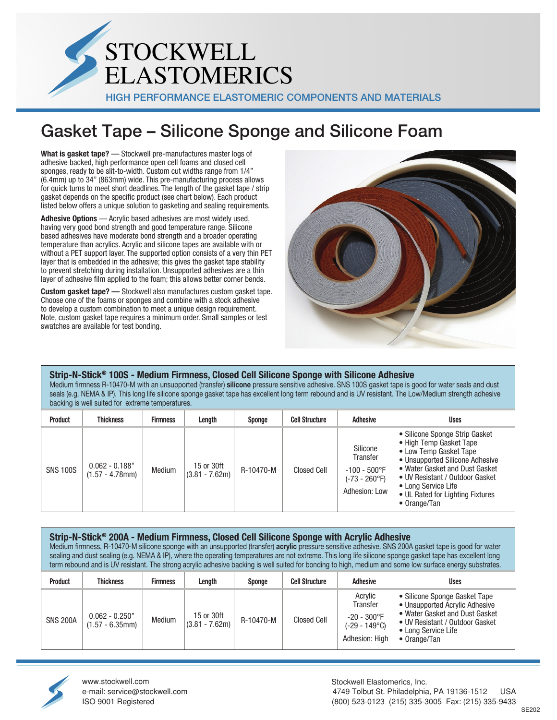

# Gasket Tape – Silicone Sponge and Silicone Foam

**What is gasket tape?** — Stockwell pre-manufactures master logs of adhesive backed, high performance open cell foams and closed cell sponges, ready to be slit-to-width. Custom cut widths range from 1/4" (6.4mm) up to 34" (863mm) wide. This pre-manufacturing process allows for quick turns to meet short deadlines. The length of the gasket tape / strip gasket depends on the specific product (see chart below). Each product listed below offers a unique solution to gasketing and sealing requirements.

**Adhesive Options** — Acrylic based adhesives are most widely used, having very good bond strength and good temperature range. Silicone based adhesives have moderate bond strength and a broader operating temperature than acrylics. Acrylic and silicone tapes are available with or without a PET support layer. The supported option consists of a very thin PET layer that is embedded in the adhesive; this gives the gasket tape stability to prevent stretching during installation. Unsupported adhesives are a thin layer of adhesive film applied to the foam; this allows better corner bends.

**Custom gasket tape? —** Stockwell also manufactures custom gasket tape. Choose one of the foams or sponges and combine with a stock adhesive to develop a custom combination to meet a unique design requirement. Note, custom gasket tape requires a minimum order. Small samples or test swatches are available for test bonding.



**Strip-N-Stick® 100S - Medium Firmness, Closed Cell Silicone Sponge with Silicone Adhesive** Medium firmness R-10470-M with an unsupported (transfer) **silicone** pressure sensitive adhesive. SNS 100S gasket tape is good for water seals and dust seals (e.g. NEMA & IP). This long life silicone sponge gasket tape has excellent long term rebound and is UV resistant. The Low/Medium strength adhesive backing is well suited for extreme temperatures.

| <b>Product</b>  | <b>Thickness</b>                       | <b>Firmness</b> | Length                         | Sponge    | <b>Cell Structure</b> | <b>Adhesive</b>                                                           | <b>Uses</b>                                                                                                                                                                                                                                                            |
|-----------------|----------------------------------------|-----------------|--------------------------------|-----------|-----------------------|---------------------------------------------------------------------------|------------------------------------------------------------------------------------------------------------------------------------------------------------------------------------------------------------------------------------------------------------------------|
| <b>SNS 100S</b> | $0.062 - 0.188"$<br>$(1.57 - 4.78$ mm) | Medium          | 15 or 30ft<br>$(3.81 - 7.62m)$ | R-10470-M | Closed Cell           | Silicone<br>Transfer<br>$-100 - 500$ °F<br>(-73 - 260°F)<br>Adhesion: Low | • Silicone Sponge Strip Gasket<br>• High Temp Gasket Tape<br>• Low Temp Gasket Tape<br>• Unsupported Silicone Adhesive<br>• Water Gasket and Dust Gasket<br>• UV Resistant / Outdoor Gasket<br>• Long Service Life<br>• UL Rated for Lighting Fixtures<br>• Orange/Tan |

#### **Strip-N-Stick® 200A - Medium Firmness, Closed Cell Silicone Sponge with Acrylic Adhesive** Medium firmness, R-10470-M silicone sponge with an unsupported (transfer) **acrylic** pressure sensitive adhesive. SNS 200A gasket tape is good for water sealing and dust sealing (e.g. NEMA & IP), where the operating temperatures are not extreme. This long life silicone sponge gasket tape has excellent long term rebound and is UV resistant. The strong acrylic adhesive backing is well suited for bonding to high, medium and some low surface energy substrates.

| Product         | Thickness                              | <b>Firmness</b> | Length                         | Sponge    | <b>Cell Structure</b> | <b>Adhesive</b>                                                                   | <b>Uses</b>                                                                                                                                                                         |
|-----------------|----------------------------------------|-----------------|--------------------------------|-----------|-----------------------|-----------------------------------------------------------------------------------|-------------------------------------------------------------------------------------------------------------------------------------------------------------------------------------|
| <b>SNS 200A</b> | $0.062 - 0.250"$<br>$(1.57 - 6.35$ mm) | Medium          | 15 or 30ft<br>$(3.81 - 7.62m)$ | R-10470-M | Closed Cell           | Acrylic<br>Transfer<br>$-20 - 300$ °F<br>$(-29 - 149^{\circ}C)$<br>Adhesion: High | • Silicone Sponge Gasket Tape<br>• Unsupported Acrylic Adhesive<br>• Water Gasket and Dust Gasket<br>• UV Resistant / Outdoor Gasket<br>• Long Service Life<br>$\bullet$ Orange/Tan |



[www.stockwell.com](http://www.stockwell.com/)  e-mail: service@stockwell.com ISO 9001 Registered

Stockwell Elastomerics, Inc. 4749 Tolbut St. Philadelphia, PA 19136-1512 USA (800) 523-0123 (215) 335-3005 Fax: (215) 335-9433